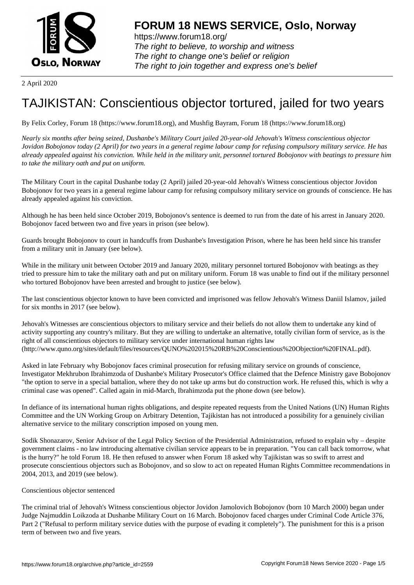

https://www.forum18.org/ The right to believe, to worship and witness The right to change one's belief or religion [The right to join together a](https://www.forum18.org/)nd express one's belief

2 April 2020

## [TAJIKISTAN: C](https://www.forum18.org)onscientious objector tortured, jailed for two years

By Felix Corley, Forum 18 (https://www.forum18.org), and Mushfig Bayram, Forum 18 (https://www.forum18.org)

*Nearly six months after being seized, Dushanbe's Military Court jailed 20-year-old Jehovah's Witness conscientious objector Jovidon Bobojonov today (2 April) for two years in a general regime labour camp for refusing compulsory military service. He has already appealed against his conviction. While held in the military unit, personnel tortured Bobojonov with beatings to pressure him to take the military oath and put on uniform.*

The Military Court in the capital Dushanbe today (2 April) jailed 20-year-old Jehovah's Witness conscientious objector Jovidon Bobojonov for two years in a general regime labour camp for refusing compulsory military service on grounds of conscience. He has already appealed against his conviction.

Although he has been held since October 2019, Bobojonov's sentence is deemed to run from the date of his arrest in January 2020. Bobojonov faced between two and five years in prison (see below).

Guards brought Bobojonov to court in handcuffs from Dushanbe's Investigation Prison, where he has been held since his transfer from a military unit in January (see below).

While in the military unit between October 2019 and January 2020, military personnel tortured Bobojonov with beatings as they tried to pressure him to take the military oath and put on military uniform. Forum 18 was unable to find out if the military personnel who tortured Bobojonov have been arrested and brought to justice (see below).

The last conscientious objector known to have been convicted and imprisoned was fellow Jehovah's Witness Daniil Islamov, jailed for six months in 2017 (see below).

Jehovah's Witnesses are conscientious objectors to military service and their beliefs do not allow them to undertake any kind of activity supporting any country's military. But they are willing to undertake an alternative, totally civilian form of service, as is the right of all conscientious objectors to military service under international human rights law (http://www.quno.org/sites/default/files/resources/QUNO%202015%20RB%20Conscientious%20Objection%20FINAL.pdf).

Asked in late February why Bobojonov faces criminal prosecution for refusing military service on grounds of conscience, Investigator Mekhrubon Ibrahimzoda of Dushanbe's Military Prosecutor's Office claimed that the Defence Ministry gave Bobojonov "the option to serve in a special battalion, where they do not take up arms but do construction work. He refused this, which is why a criminal case was opened". Called again in mid-March, Ibrahimzoda put the phone down (see below).

In defiance of its international human rights obligations, and despite repeated requests from the United Nations (UN) Human Rights Committee and the UN Working Group on Arbitrary Detention, Tajikistan has not introduced a possibility for a genuinely civilian alternative service to the military conscription imposed on young men.

Sodik Shonazarov, Senior Advisor of the Legal Policy Section of the Presidential Administration, refused to explain why – despite government claims - no law introducing alternative civilian service appears to be in preparation. "You can call back tomorrow, what is the hurry?" he told Forum 18. He then refused to answer when Forum 18 asked why Tajikistan was so swift to arrest and prosecute conscientious objectors such as Bobojonov, and so slow to act on repeated Human Rights Committee recommendations in 2004, 2013, and 2019 (see below).

## Conscientious objector sentenced

The criminal trial of Jehovah's Witness conscientious objector Jovidon Jamolovich Bobojonov (born 10 March 2000) began under Judge Najmuddin Loikzoda at Dushanbe Military Court on 16 March. Bobojonov faced charges under Criminal Code Article 376, Part 2 ("Refusal to perform military service duties with the purpose of evading it completely"). The punishment for this is a prison term of between two and five years.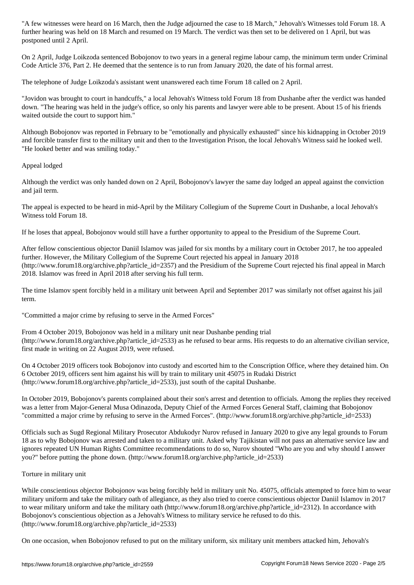postponed until 2 April.

On 2 April, Judge Loikzoda sentenced Bobojonov to two years in a general regime labour camp, the minimum term under Criminal Code Article 376, Part 2. He deemed that the sentence is to run from January 2020, the date of his formal arrest.

The telephone of Judge Loikzoda's assistant went unanswered each time Forum 18 called on 2 April.

"Jovidon was brought to court in handcuffs," a local Jehovah's Witness told Forum 18 from Dushanbe after the verdict was handed down. "The hearing was held in the judge's office, so only his parents and lawyer were able to be present. About 15 of his friends waited outside the court to support him."

Although Bobojonov was reported in February to be "emotionally and physically exhausted" since his kidnapping in October 2019 and forcible transfer first to the military unit and then to the Investigation Prison, the local Jehovah's Witness said he looked well. "He looked better and was smiling today."

Appeal lodged

Although the verdict was only handed down on 2 April, Bobojonov's lawyer the same day lodged an appeal against the conviction and jail term.

The appeal is expected to be heard in mid-April by the Military Collegium of the Supreme Court in Dushanbe, a local Jehovah's Witness told Forum 18.

If he loses that appeal, Bobojonov would still have a further opportunity to appeal to the Presidium of the Supreme Court.

After fellow conscientious objector Daniil Islamov was jailed for six months by a military court in October 2017, he too appealed further. However, the Military Collegium of the Supreme Court rejected his appeal in January 2018 (http://www.forum18.org/archive.php?article\_id=2357) and the Presidium of the Supreme Court rejected his final appeal in March 2018. Islamov was freed in April 2018 after serving his full term.

The time Islamov spent forcibly held in a military unit between April and September 2017 was similarly not offset against his jail term.

"Committed a major crime by refusing to serve in the Armed Forces"

From 4 October 2019, Bobojonov was held in a military unit near Dushanbe pending trial (http://www.forum18.org/archive.php?article\_id=2533) as he refused to bear arms. His requests to do an alternative civilian service, first made in writing on 22 August 2019, were refused.

On 4 October 2019 officers took Bobojonov into custody and escorted him to the Conscription Office, where they detained him. On 6 October 2019, officers sent him against his will by train to military unit 45075 in Rudaki District (http://www.forum18.org/archive.php?article\_id=2533), just south of the capital Dushanbe.

In October 2019, Bobojonov's parents complained about their son's arrest and detention to officials. Among the replies they received was a letter from Major-General Musa Odinazoda, Deputy Chief of the Armed Forces General Staff, claiming that Bobojonov "committed a major crime by refusing to serve in the Armed Forces". (http://www.forum18.org/archive.php?article\_id=2533)

Officials such as Sugd Regional Military Prosecutor Abdukodyr Nurov refused in January 2020 to give any legal grounds to Forum 18 as to why Bobojonov was arrested and taken to a military unit. Asked why Tajikistan will not pass an alternative service law and ignores repeated UN Human Rights Committee recommendations to do so, Nurov shouted "Who are you and why should I answer you?" before putting the phone down. (http://www.forum18.org/archive.php?article\_id=2533)

## Torture in military unit

While conscientious objector Bobojonov was being forcibly held in military unit No. 45075, officials attempted to force him to wear military uniform and take the military oath of allegiance, as they also tried to coerce conscientious objector Daniil Islamov in 2017 to wear military uniform and take the military oath (http://www.forum18.org/archive.php?article\_id=2312). In accordance with Bobojonov's conscientious objection as a Jehovah's Witness to military service he refused to do this. (http://www.forum18.org/archive.php?article\_id=2533)

On one occasion, when Bobojonov refused to put on the military uniform, six military unit members attacked him, Jehovah's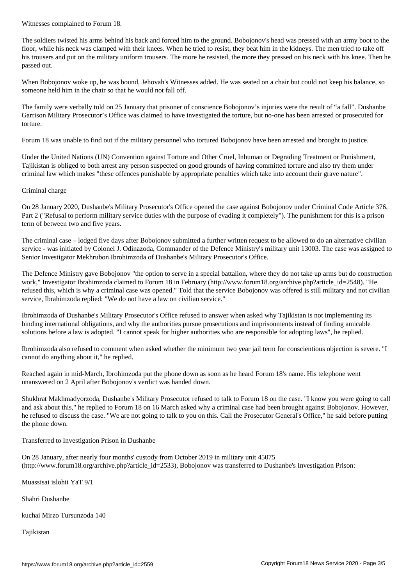The soldiers twisted his arms behind his back and forced him to the ground. Bobojonov's head was pressed with an army boot to the floor, while his neck was clamped with their knees. When he tried to resist, they beat him in the kidneys. The men tried to take off his trousers and put on the military uniform trousers. The more he resisted, the more they pressed on his neck with his knee. Then he passed out.

When Bobojonov woke up, he was bound, Jehovah's Witnesses added. He was seated on a chair but could not keep his balance, so someone held him in the chair so that he would not fall off.

The family were verbally told on 25 January that prisoner of conscience Bobojonov's injuries were the result of "a fall". Dushanbe Garrison Military Prosecutor's Office was claimed to have investigated the torture, but no-one has been arrested or prosecuted for torture.

Forum 18 was unable to find out if the military personnel who tortured Bobojonov have been arrested and brought to justice.

Under the United Nations (UN) Convention against Torture and Other Cruel, Inhuman or Degrading Treatment or Punishment, Tajikistan is obliged to both arrest any person suspected on good grounds of having committed torture and also try them under criminal law which makes "these offences punishable by appropriate penalties which take into account their grave nature".

Criminal charge

On 28 January 2020, Dushanbe's Military Prosecutor's Office opened the case against Bobojonov under Criminal Code Article 376, Part 2 ("Refusal to perform military service duties with the purpose of evading it completely"). The punishment for this is a prison term of between two and five years.

The criminal case – lodged five days after Bobojonov submitted a further written request to be allowed to do an alternative civilian service - was initiated by Colonel J. Odinazoda, Commander of the Defence Ministry's military unit 13003. The case was assigned to Senior Investigator Mekhrubon Ibrohimzoda of Dushanbe's Military Prosecutor's Office.

The Defence Ministry gave Bobojonov "the option to serve in a special battalion, where they do not take up arms but do construction work," Investigator Ibrahimzoda claimed to Forum 18 in February (http://www.forum18.org/archive.php?article\_id=2548). "He refused this, which is why a criminal case was opened." Told that the service Bobojonov was offered is still military and not civilian service, Ibrahimzoda replied: "We do not have a law on civilian service."

Ibrohimzoda of Dushanbe's Military Prosecutor's Office refused to answer when asked why Tajikistan is not implementing its binding international obligations, and why the authorities pursue prosecutions and imprisonments instead of finding amicable solutions before a law is adopted. "I cannot speak for higher authorities who are responsible for adopting laws", he replied.

Ibrohimzoda also refused to comment when asked whether the minimum two year jail term for conscientious objection is severe. "I cannot do anything about it," he replied.

Reached again in mid-March, Ibrohimzoda put the phone down as soon as he heard Forum 18's name. His telephone went unanswered on 2 April after Bobojonov's verdict was handed down.

Shukhrat Makhmadyorzoda, Dushanbe's Military Prosecutor refused to talk to Forum 18 on the case. "I know you were going to call and ask about this," he replied to Forum 18 on 16 March asked why a criminal case had been brought against Bobojonov. However, he refused to discuss the case. "We are not going to talk to you on this. Call the Prosecutor General's Office," he said before putting the phone down.

Transferred to Investigation Prison in Dushanbe

On 28 January, after nearly four months' custody from October 2019 in military unit 45075 (http://www.forum18.org/archive.php?article\_id=2533), Bobojonov was transferred to Dushanbe's Investigation Prison:

Muassisai islohii YaT 9/1

Shahri Dushanbe

kuchai Mirzo Tursunzoda 140

Tajikistan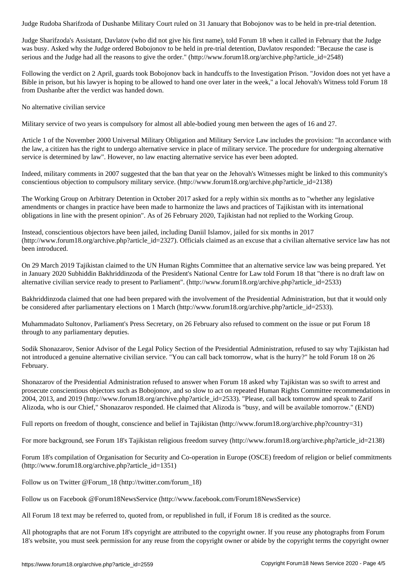Judge Sharifzoda's Assistant, Davlatov (who did not give his first name), told Forum 18 when it called in February that the Judge was busy. Asked why the Judge ordered Bobojonov to be held in pre-trial detention, Davlatov responded: "Because the case is serious and the Judge had all the reasons to give the order." (http://www.forum18.org/archive.php?article\_id=2548)

Following the verdict on 2 April, guards took Bobojonov back in handcuffs to the Investigation Prison. "Jovidon does not yet have a Bible in prison, but his lawyer is hoping to be allowed to hand one over later in the week," a local Jehovah's Witness told Forum 18 from Dushanbe after the verdict was handed down.

No alternative civilian service

Military service of two years is compulsory for almost all able-bodied young men between the ages of 16 and 27.

Article 1 of the November 2000 Universal Military Obligation and Military Service Law includes the provision: "In accordance with the law, a citizen has the right to undergo alternative service in place of military service. The procedure for undergoing alternative service is determined by law". However, no law enacting alternative service has ever been adopted.

Indeed, military comments in 2007 suggested that the ban that year on the Jehovah's Witnesses might be linked to this community's conscientious objection to compulsory military service. (http://www.forum18.org/archive.php?article\_id=2138)

The Working Group on Arbitrary Detention in October 2017 asked for a reply within six months as to "whether any legislative amendments or changes in practice have been made to harmonize the laws and practices of Tajikistan with its international obligations in line with the present opinion". As of 26 February 2020, Tajikistan had not replied to the Working Group.

Instead, conscientious objectors have been jailed, including Daniil Islamov, jailed for six months in 2017 (http://www.forum18.org/archive.php?article\_id=2327). Officials claimed as an excuse that a civilian alternative service law has not been introduced.

On 29 March 2019 Tajikistan claimed to the UN Human Rights Committee that an alternative service law was being prepared. Yet in January 2020 Subhiddin Bakhriddinzoda of the President's National Centre for Law told Forum 18 that "there is no draft law on alternative civilian service ready to present to Parliament". (http://www.forum18.org/archive.php?article\_id=2533)

Bakhriddinzoda claimed that one had been prepared with the involvement of the Presidential Administration, but that it would only be considered after parliamentary elections on 1 March (http://www.forum18.org/archive.php?article\_id=2533).

Muhammadato Sultonov, Parliament's Press Secretary, on 26 February also refused to comment on the issue or put Forum 18 through to any parliamentary deputies.

Sodik Shonazarov, Senior Advisor of the Legal Policy Section of the Presidential Administration, refused to say why Tajikistan had not introduced a genuine alternative civilian service. "You can call back tomorrow, what is the hurry?" he told Forum 18 on 26 February.

Shonazarov of the Presidential Administration refused to answer when Forum 18 asked why Tajikistan was so swift to arrest and prosecute conscientious objectors such as Bobojonov, and so slow to act on repeated Human Rights Committee recommendations in 2004, 2013, and 2019 (http://www.forum18.org/archive.php?article\_id=2533). "Please, call back tomorrow and speak to Zarif Alizoda, who is our Chief," Shonazarov responded. He claimed that Alizoda is "busy, and will be available tomorrow." (END)

Full reports on freedom of thought, conscience and belief in Tajikistan (http://www.forum18.org/archive.php?country=31)

For more background, see Forum 18's Tajikistan religious freedom survey (http://www.forum18.org/archive.php?article\_id=2138)

Forum 18's compilation of Organisation for Security and Co-operation in Europe (OSCE) freedom of religion or belief commitments (http://www.forum18.org/archive.php?article\_id=1351)

Follow us on Twitter @Forum\_18 (http://twitter.com/forum\_18)

Follow us on Facebook @Forum18NewsService (http://www.facebook.com/Forum18NewsService)

All Forum 18 text may be referred to, quoted from, or republished in full, if Forum 18 is credited as the source.

All photographs that are not Forum 18's copyright are attributed to the copyright owner. If you reuse any photographs from Forum 18's website, you must seek permission for any reuse from the copyright owner or abide by the copyright terms the copyright owner